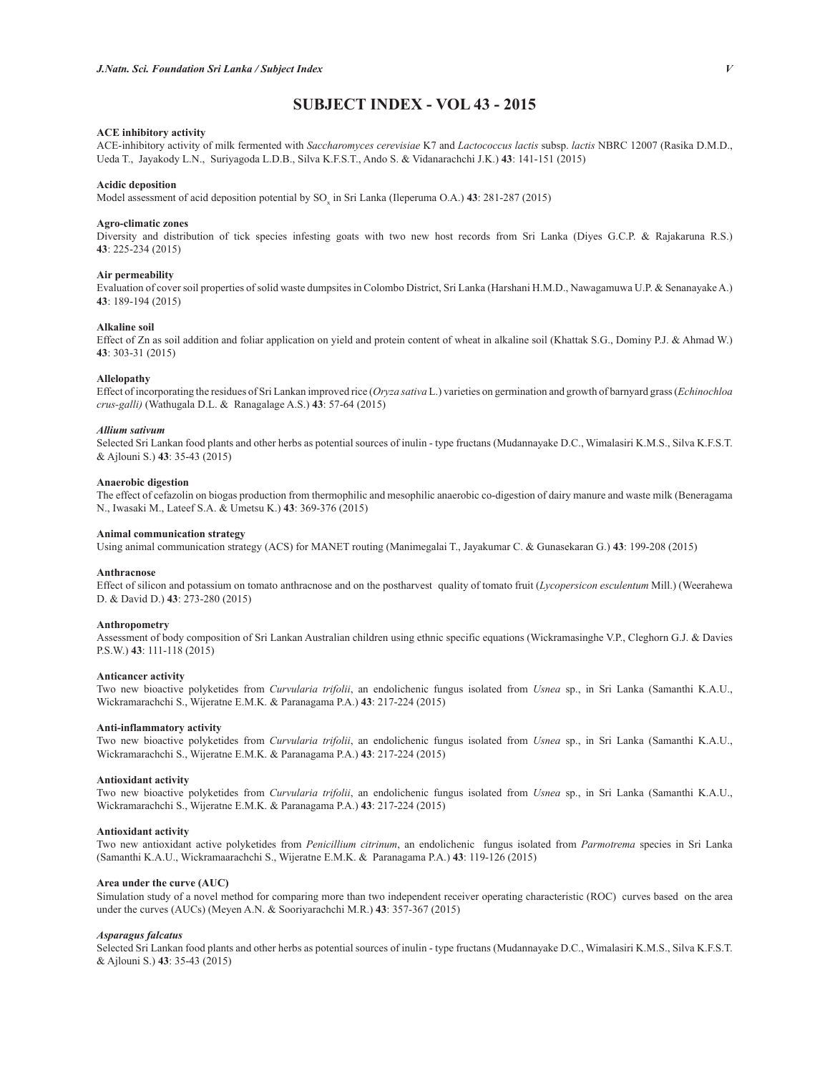# **SUBJECT INDEX - VOL 43 - 2015**

## **ACE inhibitory activity**

ACE-inhibitory activity of milk fermented with *Saccharomyces cerevisiae* K7 and *Lactococcus lactis* subsp. *lactis* NBRC 12007 (Rasika D.M.D., Ueda T., Jayakody L.N., Suriyagoda L.D.B., Silva K.F.S.T., Ando S. & Vidanarachchi J.K.) **43**: 141-151 (2015)

## **Acidic deposition**

Model assessment of acid deposition potential by SO<sub>x</sub> in Sri Lanka (Ileperuma O.A.) **43**: 281-287 (2015)

#### **Agro-climatic zones**

Diversity and distribution of tick species infesting goats with two new host records from Sri Lanka (Diyes G.C.P. & Rajakaruna R.S.) **43**: 225-234 (2015)

## **Air permeability**

Evaluation of cover soil properties of solid waste dumpsites in Colombo District, Sri Lanka (Harshani H.M.D., Nawagamuwa U.P. & Senanayake A.) **43**: 189-194 (2015)

## **Alkaline soil**

Effect of Zn as soil addition and foliar application on yield and protein content of wheat in alkaline soil (Khattak S.G., Dominy P.J. & Ahmad W.) **43**: 303-31 (2015)

## **Allelopathy**

Effect of incorporating the residues of Sri Lankan improved rice (*Oryza sativa* L.) varieties on germination and growth of barnyard grass (*Echinochloa crus-galli)* (Wathugala D.L. & Ranagalage A.S.) **43**: 57-64 (2015)

#### *Allium sativum*

Selected Sri Lankan food plants and other herbs as potential sources of inulin - type fructans (Mudannayake D.C., Wimalasiri K.M.S., Silva K.F.S.T. & Ajlouni S.) **43**: 35-43 (2015)

## **Anaerobic digestion**

The effect of cefazolin on biogas production from thermophilic and mesophilic anaerobic co-digestion of dairy manure and waste milk (Beneragama N., Iwasaki M., Lateef S.A. & Umetsu K.) **43**: 369-376 (2015)

## **Animal communication strategy**

Using animal communication strategy (ACS) for MANET routing (Manimegalai T., Jayakumar C. & Gunasekaran G.) **43**: 199-208 (2015)

## **Anthracnose**

Effect of silicon and potassium on tomato anthracnose and on the postharvest quality of tomato fruit (*Lycopersicon esculentum* Mill.) (Weerahewa D. & David D.) **43**: 273-280 (2015)

## **Anthropometry**

Assessment of body composition of Sri Lankan Australian children using ethnic specific equations (Wickramasinghe V.P., Cleghorn G.J. & Davies P.S.W.) **43**: 111-118 (2015)

## **Anticancer activity**

Two new bioactive polyketides from *Curvularia trifolii*, an endolichenic fungus isolated from *Usnea* sp., in Sri Lanka (Samanthi K.A.U., Wickramarachchi S., Wijeratne E.M.K. & Paranagama P.A.) **43**: 217-224 (2015)

## **Anti-inflammatory activity**

Two new bioactive polyketides from *Curvularia trifolii*, an endolichenic fungus isolated from *Usnea* sp., in Sri Lanka (Samanthi K.A.U., Wickramarachchi S., Wijeratne E.M.K. & Paranagama P.A.) **43**: 217-224 (2015)

## **Antioxidant activity**

Two new bioactive polyketides from *Curvularia trifolii*, an endolichenic fungus isolated from *Usnea* sp., in Sri Lanka (Samanthi K.A.U., Wickramarachchi S., Wijeratne E.M.K. & Paranagama P.A.) **43**: 217-224 (2015)

#### **Antioxidant activity**

Two new antioxidant active polyketides from *Penicillium citrinum*, an endolichenic fungus isolated from *Parmotrema* species in Sri Lanka (Samanthi K.A.U., Wickramaarachchi S., Wijeratne E.M.K. & Paranagama P.A.) **43**: 119-126 (2015)

## **Area under the curve (AUC)**

Simulation study of a novel method for comparing more than two independent receiver operating characteristic (ROC) curves based on the area under the curves (AUCs) (Meyen A.N. & Sooriyarachchi M.R.) **43**: 357-367 (2015)

## *Asparagus falcatus*

Selected Sri Lankan food plants and other herbs as potential sources of inulin - type fructans (Mudannayake D.C., Wimalasiri K.M.S., Silva K.F.S.T. & Ajlouni S.) **43**: 35-43 (2015)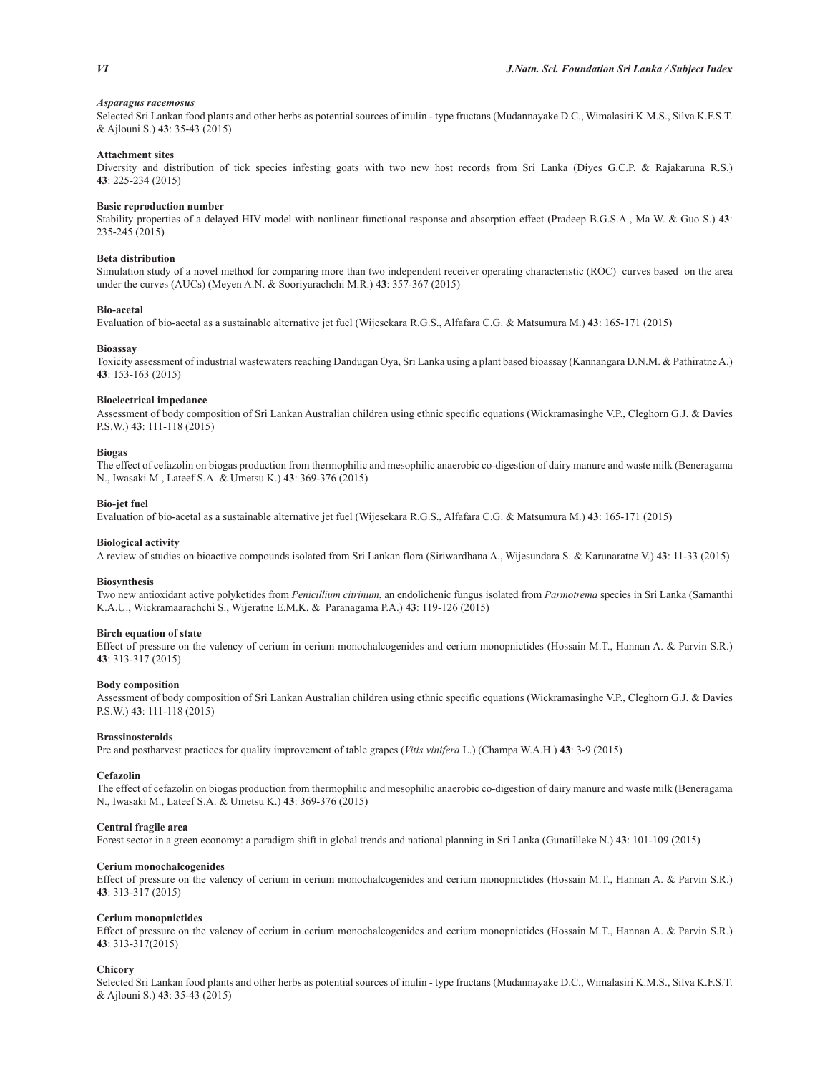## *Asparagus racemosus*

Selected Sri Lankan food plants and other herbs as potential sources of inulin - type fructans (Mudannayake D.C., Wimalasiri K.M.S., Silva K.F.S.T. & Ajlouni S.) **43**: 35-43 (2015)

## **Attachment sites**

Diversity and distribution of tick species infesting goats with two new host records from Sri Lanka (Diyes G.C.P. & Rajakaruna R.S.) **43**: 225-234 (2015)

## **Basic reproduction number**

Stability properties of a delayed HIV model with nonlinear functional response and absorption effect (Pradeep B.G.S.A., Ma W. & Guo S.) **43**: 235-245 (2015)

## **Beta distribution**

Simulation study of a novel method for comparing more than two independent receiver operating characteristic (ROC) curves based on the area under the curves (AUCs) (Meyen A.N. & Sooriyarachchi M.R.) **43**: 357-367 (2015)

## **Bio-acetal**

Evaluation of bio-acetal as a sustainable alternative jet fuel (Wijesekara R.G.S., Alfafara C.G. & Matsumura M.) **43**: 165-171 (2015)

#### **Bioassay**

Toxicity assessment of industrial wastewaters reaching Dandugan Oya, Sri Lanka using a plant based bioassay (Kannangara D.N.M. & Pathiratne A.) **43**: 153-163 (2015)

## **Bioelectrical impedance**

Assessment of body composition of Sri Lankan Australian children using ethnic specific equations (Wickramasinghe V.P., Cleghorn G.J. & Davies P.S.W.) **43**: 111-118 (2015)

## **Biogas**

The effect of cefazolin on biogas production from thermophilic and mesophilic anaerobic co-digestion of dairy manure and waste milk (Beneragama N., Iwasaki M., Lateef S.A. & Umetsu K.) **43**: 369-376 (2015)

## **Bio-jet fuel**

Evaluation of bio-acetal as a sustainable alternative jet fuel (Wijesekara R.G.S., Alfafara C.G. & Matsumura M.) **43**: 165-171 (2015)

## **Biological activity**

A review of studies on bioactive compounds isolated from Sri Lankan flora (Siriwardhana A., Wijesundara S. & Karunaratne V.) **43**: 11-33 (2015)

#### **Biosynthesis**

Two new antioxidant active polyketides from *Penicillium citrinum*, an endolichenic fungus isolated from *Parmotrema* species in Sri Lanka (Samanthi K.A.U., Wickramaarachchi S., Wijeratne E.M.K. & Paranagama P.A.) **43**: 119-126 (2015)

## **Birch equation of state**

Effect of pressure on the valency of cerium in cerium monochalcogenides and cerium monopnictides (Hossain M.T., Hannan A. & Parvin S.R.) **43**: 313-317 (2015)

#### **Body composition**

Assessment of body composition of Sri Lankan Australian children using ethnic specific equations (Wickramasinghe V.P., Cleghorn G.J. & Davies P.S.W.) **43**: 111-118 (2015)

## **Brassinosteroids**

Pre and postharvest practices for quality improvement of table grapes (*Vitis vinifera* L.) (Champa W.A.H.) **43**: 3-9 (2015)

#### **Cefazolin**

The effect of cefazolin on biogas production from thermophilic and mesophilic anaerobic co-digestion of dairy manure and waste milk (Beneragama N., Iwasaki M., Lateef S.A. & Umetsu K.) **43**: 369-376 (2015)

#### **Central fragile area**

Forest sector in a green economy: a paradigm shift in global trends and national planning in Sri Lanka (Gunatilleke N.) **43**: 101-109 (2015)

## **Cerium monochalcogenides**

Effect of pressure on the valency of cerium in cerium monochalcogenides and cerium monopnictides (Hossain M.T., Hannan A. & Parvin S.R.) **43**: 313-317 (2015)

#### **Cerium monopnictides**

Effect of pressure on the valency of cerium in cerium monochalcogenides and cerium monopnictides (Hossain M.T., Hannan A. & Parvin S.R.) **43**: 313-317(2015)

## **Chicory**

Selected Sri Lankan food plants and other herbs as potential sources of inulin - type fructans (Mudannayake D.C., Wimalasiri K.M.S., Silva K.F.S.T. & Ajlouni S.) **43**: 35-43 (2015)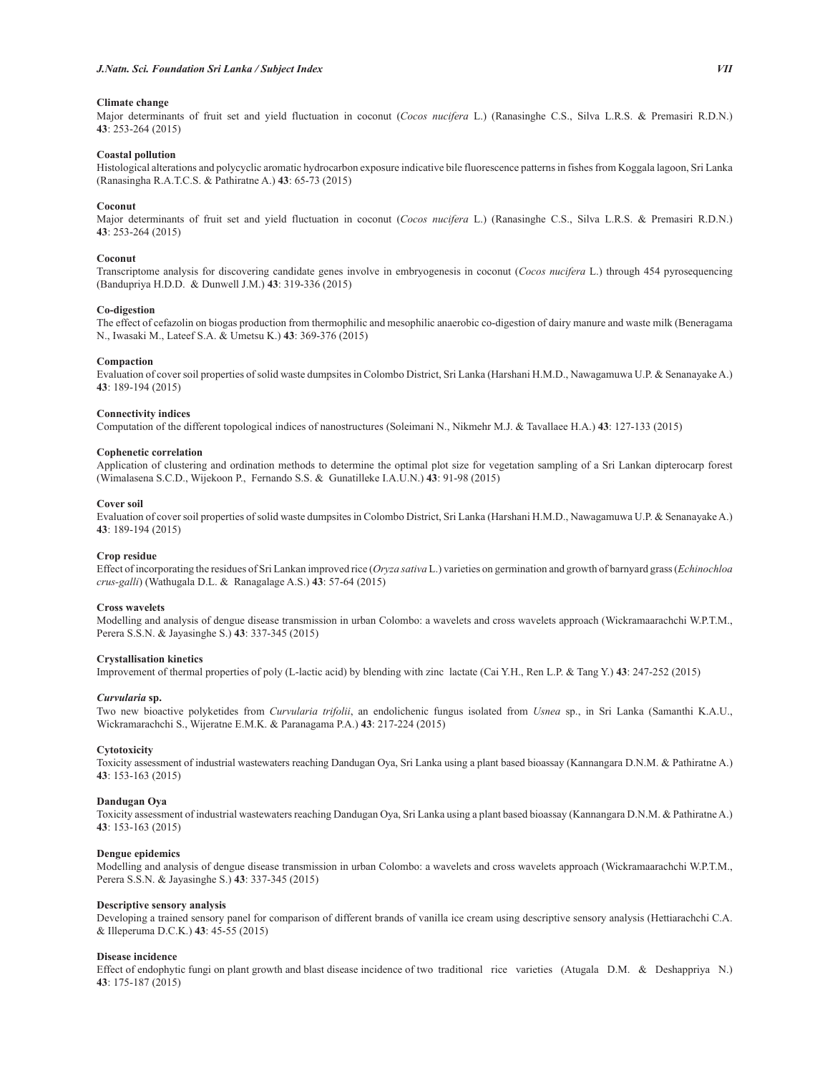## **Climate change**

Major determinants of fruit set and yield fluctuation in coconut (*Cocos nucifera* L.) (Ranasinghe C.S., Silva L.R.S. & Premasiri R.D.N.) **43**: 253-264 (2015)

## **Coastal pollution**

Histological alterations and polycyclic aromatic hydrocarbon exposure indicative bile fluorescence patterns in fishes from Koggala lagoon, Sri Lanka (Ranasingha R.A.T.C.S. & Pathiratne A.) **43**: 65-73 (2015)

## **Coconut**

Major determinants of fruit set and yield fluctuation in coconut (*Cocos nucifera* L.) (Ranasinghe C.S., Silva L.R.S. & Premasiri R.D.N.) **43**: 253-264 (2015)

## **Coconut**

Transcriptome analysis for discovering candidate genes involve in embryogenesis in coconut (*Cocos nucifera* L.) through 454 pyrosequencing (Bandupriya H.D.D. & Dunwell J.M.) **43**: 319-336 (2015)

## **Co-digestion**

The effect of cefazolin on biogas production from thermophilic and mesophilic anaerobic co-digestion of dairy manure and waste milk (Beneragama N., Iwasaki M., Lateef S.A. & Umetsu K.) **43**: 369-376 (2015)

## **Compaction**

Evaluation of cover soil properties of solid waste dumpsites in Colombo District, Sri Lanka (Harshani H.M.D., Nawagamuwa U.P. & Senanayake A.) **43**: 189-194 (2015)

## **Connectivity indices**

Computation of the different topological indices of nanostructures (Soleimani N., Nikmehr M.J. & Tavallaee H.A.) **43**: 127-133 (2015)

#### **Cophenetic correlation**

Application of clustering and ordination methods to determine the optimal plot size for vegetation sampling of a Sri Lankan dipterocarp forest (Wimalasena S.C.D., Wijekoon P., Fernando S.S. & Gunatilleke I.A.U.N.) **43**: 91-98 (2015)

## **Cover soil**

Evaluation of cover soil properties of solid waste dumpsites in Colombo District, Sri Lanka (Harshani H.M.D., Nawagamuwa U.P. & Senanayake A.) **43**: 189-194 (2015)

## **Crop residue**

Effect of incorporating the residues of Sri Lankan improved rice (*Oryza sativa* L.) varieties on germination and growth of barnyard grass (*Echinochloa crus-galli*) (Wathugala D.L. & Ranagalage A.S.) **43**: 57-64 (2015)

## **Cross wavelets**

Modelling and analysis of dengue disease transmission in urban Colombo: a wavelets and cross wavelets approach (Wickramaarachchi W.P.T.M., Perera S.S.N. & Jayasinghe S.) **43**: 337-345 (2015)

## **Crystallisation kinetics**

Improvement of thermal properties of poly (L-lactic acid) by blending with zinc lactate (Cai Y.H., Ren L.P. & Tang Y.) **43**: 247-252 (2015)

## *Curvularia* **sp.**

Two new bioactive polyketides from *Curvularia trifolii*, an endolichenic fungus isolated from *Usnea* sp., in Sri Lanka (Samanthi K.A.U., Wickramarachchi S., Wijeratne E.M.K. & Paranagama P.A.) **43**: 217-224 (2015)

## **Cytotoxicity**

Toxicity assessment of industrial wastewaters reaching Dandugan Oya, Sri Lanka using a plant based bioassay (Kannangara D.N.M. & Pathiratne A.) **43**: 153-163 (2015)

## **Dandugan Oya**

Toxicity assessment of industrial wastewaters reaching Dandugan Oya, Sri Lanka using a plant based bioassay (Kannangara D.N.M. & Pathiratne A.) **43**: 153-163 (2015)

### **Dengue epidemics**

Modelling and analysis of dengue disease transmission in urban Colombo: a wavelets and cross wavelets approach (Wickramaarachchi W.P.T.M., Perera S.S.N. & Jayasinghe S.) **43**: 337-345 (2015)

## **Descriptive sensory analysis**

Developing a trained sensory panel for comparison of different brands of vanilla ice cream using descriptive sensory analysis (Hettiarachchi C.A. & Illeperuma D.C.K.) **43**: 45-55 (2015)

## **Disease incidence**

Effect of endophytic fungi on plant growth and blast disease incidence of two traditional rice varieties (Atugala D.M. & Deshappriya N.) **43**: 175-187 (2015)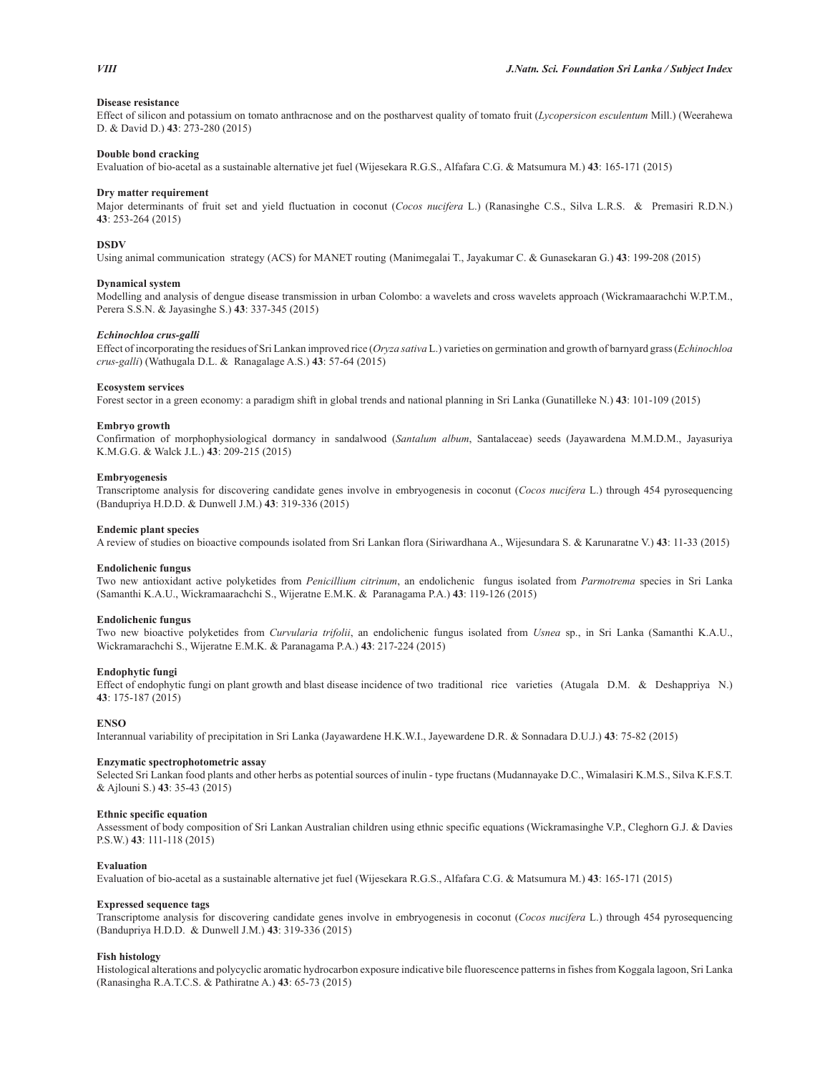## **Disease resistance**

Effect of silicon and potassium on tomato anthracnose and on the postharvest quality of tomato fruit (*Lycopersicon esculentum* Mill.) (Weerahewa D. & David D.) **43**: 273-280 (2015)

## **Double bond cracking**

Evaluation of bio-acetal as a sustainable alternative jet fuel (Wijesekara R.G.S., Alfafara C.G. & Matsumura M.) **43**: 165-171 (2015)

## **Dry matter requirement**

Major determinants of fruit set and yield fluctuation in coconut (*Cocos nucifera* L.) (Ranasinghe C.S., Silva L.R.S. & Premasiri R.D.N.) **43**: 253-264 (2015)

## **DSDV**

Using animal communication strategy (ACS) for MANET routing (Manimegalai T., Jayakumar C. & Gunasekaran G.) **43**: 199-208 (2015)

## **Dynamical system**

Modelling and analysis of dengue disease transmission in urban Colombo: a wavelets and cross wavelets approach (Wickramaarachchi W.P.T.M., Perera S.S.N. & Jayasinghe S.) **43**: 337-345 (2015)

#### *Echinochloa crus-galli*

Effect of incorporating the residues of Sri Lankan improved rice (*Oryza sativa* L.) varieties on germination and growth of barnyard grass (*Echinochloa crus-galli*) (Wathugala D.L. & Ranagalage A.S.) **43**: 57-64 (2015)

## **Ecosystem services**

Forest sector in a green economy: a paradigm shift in global trends and national planning in Sri Lanka (Gunatilleke N.) **43**: 101-109 (2015)

## **Embryo growth**

Confirmation of morphophysiological dormancy in sandalwood (*Santalum album*, Santalaceae) seeds (Jayawardena M.M.D.M., Jayasuriya K.M.G.G. & Walck J.L.) **43**: 209-215 (2015)

#### **Embryogenesis**

Transcriptome analysis for discovering candidate genes involve in embryogenesis in coconut (*Cocos nucifera* L.) through 454 pyrosequencing (Bandupriya H.D.D. & Dunwell J.M.) **43**: 319-336 (2015)

## **Endemic plant species**

A review of studies on bioactive compounds isolated from Sri Lankan flora (Siriwardhana A., Wijesundara S. & Karunaratne V.) **43**: 11-33 (2015)

## **Endolichenic fungus**

Two new antioxidant active polyketides from *Penicillium citrinum*, an endolichenic fungus isolated from *Parmotrema* species in Sri Lanka (Samanthi K.A.U., Wickramaarachchi S., Wijeratne E.M.K. & Paranagama P.A.) **43**: 119-126 (2015)

#### **Endolichenic fungus**

Two new bioactive polyketides from *Curvularia trifolii*, an endolichenic fungus isolated from *Usnea* sp., in Sri Lanka (Samanthi K.A.U., Wickramarachchi S., Wijeratne E.M.K. & Paranagama P.A.) **43**: 217-224 (2015)

## **Endophytic fungi**

Effect of endophytic fungi on plant growth and blast disease incidence of two traditional rice varieties (Atugala D.M. & Deshappriya N.) **43**: 175-187 (2015)

## **ENSO**

Interannual variability of precipitation in Sri Lanka (Jayawardene H.K.W.I., Jayewardene D.R. & Sonnadara D.U.J.) **43**: 75-82 (2015)

## **Enzymatic spectrophotometric assay**

Selected Sri Lankan food plants and other herbs as potential sources of inulin - type fructans (Mudannayake D.C., Wimalasiri K.M.S., Silva K.F.S.T. & Ajlouni S.) **43**: 35-43 (2015)

#### **Ethnic specific equation**

Assessment of body composition of Sri Lankan Australian children using ethnic specific equations (Wickramasinghe V.P., Cleghorn G.J. & Davies P.S.W.) **43**: 111-118 (2015)

#### **Evaluation**

Evaluation of bio-acetal as a sustainable alternative jet fuel (Wijesekara R.G.S., Alfafara C.G. & Matsumura M.) **43**: 165-171 (2015)

## **Expressed sequence tags**

Transcriptome analysis for discovering candidate genes involve in embryogenesis in coconut (*Cocos nucifera* L.) through 454 pyrosequencing (Bandupriya H.D.D. & Dunwell J.M.) **43**: 319-336 (2015)

## **Fish histology**

Histological alterations and polycyclic aromatic hydrocarbon exposure indicative bile fluorescence patterns in fishes from Koggala lagoon, Sri Lanka (Ranasingha R.A.T.C.S. & Pathiratne A.) **43**: 65-73 (2015)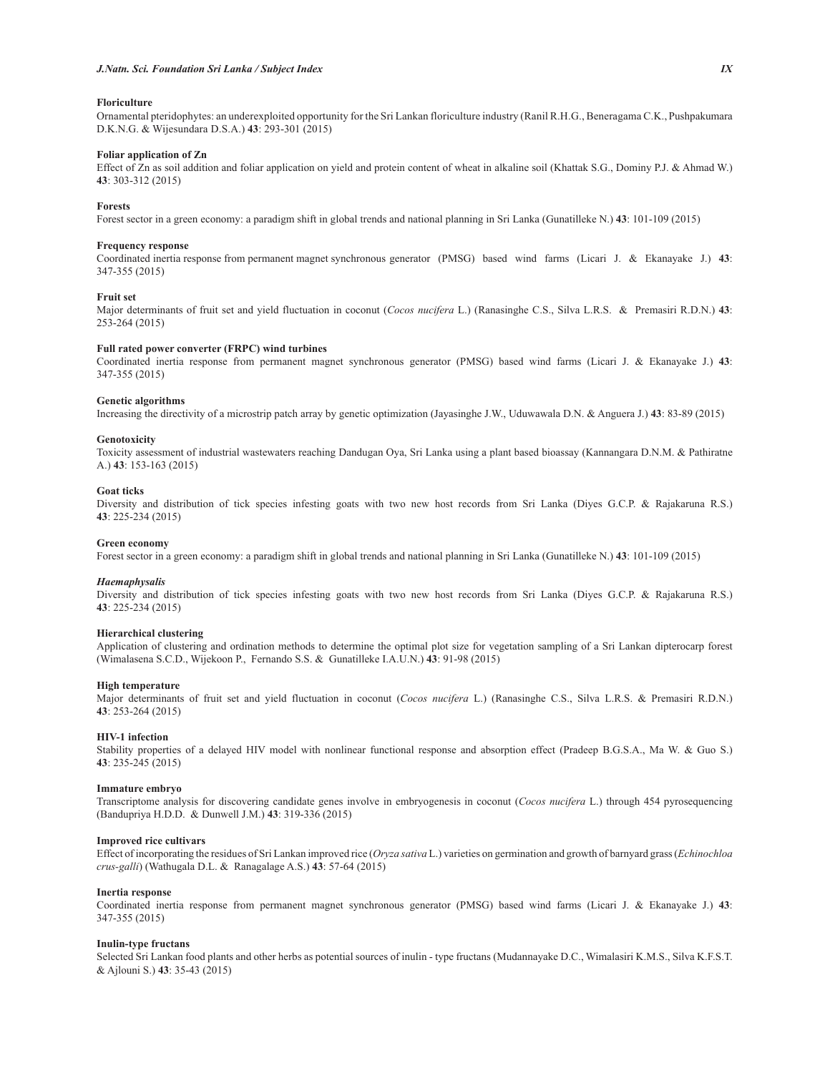## **Floriculture**

Ornamental pteridophytes: an underexploited opportunity for the Sri Lankan floriculture industry (Ranil R.H.G., Beneragama C.K., Pushpakumara D.K.N.G. & Wijesundara D.S.A.) **43**: 293-301 (2015)

## **Foliar application of Zn**

Effect of Zn as soil addition and foliar application on yield and protein content of wheat in alkaline soil (Khattak S.G., Dominy P.J. & Ahmad W.) **43**: 303-312 (2015)

## **Forests**

Forest sector in a green economy: a paradigm shift in global trends and national planning in Sri Lanka (Gunatilleke N.) **43**: 101-109 (2015)

## **Frequency response**

Coordinated inertia response from permanent magnet synchronous generator (PMSG) based wind farms (Licari J. & Ekanayake J.) **43**: 347-355 (2015)

## **Fruit set**

Major determinants of fruit set and yield fluctuation in coconut (*Cocos nucifera* L.) (Ranasinghe C.S., Silva L.R.S. & Premasiri R.D.N.) **43**: 253-264 (2015)

## **Full rated power converter (FRPC) wind turbines**

Coordinated inertia response from permanent magnet synchronous generator (PMSG) based wind farms (Licari J. & Ekanayake J.) **43**: 347-355 (2015)

## **Genetic algorithms**

Increasing the directivity of a microstrip patch array by genetic optimization (Jayasinghe J.W., Uduwawala D.N. & Anguera J.) **43**: 83-89 (2015)

#### **Genotoxicity**

Toxicity assessment of industrial wastewaters reaching Dandugan Oya, Sri Lanka using a plant based bioassay (Kannangara D.N.M. & Pathiratne A.) **43**: 153-163 (2015)

## **Goat ticks**

Diversity and distribution of tick species infesting goats with two new host records from Sri Lanka (Diyes G.C.P. & Rajakaruna R.S.) **43**: 225-234 (2015)

## **Green economy**

Forest sector in a green economy: a paradigm shift in global trends and national planning in Sri Lanka (Gunatilleke N.) **43**: 101-109 (2015)

#### *Haemaphysalis*

Diversity and distribution of tick species infesting goats with two new host records from Sri Lanka (Diyes G.C.P. & Rajakaruna R.S.) **43**: 225-234 (2015)

## **Hierarchical clustering**

Application of clustering and ordination methods to determine the optimal plot size for vegetation sampling of a Sri Lankan dipterocarp forest (Wimalasena S.C.D., Wijekoon P., Fernando S.S. & Gunatilleke I.A.U.N.) **43**: 91-98 (2015)

### **High temperature**

Major determinants of fruit set and yield fluctuation in coconut (*Cocos nucifera* L.) (Ranasinghe C.S., Silva L.R.S. & Premasiri R.D.N.) **43**: 253-264 (2015)

## **HIV-1 infection**

Stability properties of a delayed HIV model with nonlinear functional response and absorption effect (Pradeep B.G.S.A., Ma W. & Guo S.) **43**: 235-245 (2015)

## **Immature embryo**

Transcriptome analysis for discovering candidate genes involve in embryogenesis in coconut (*Cocos nucifera* L.) through 454 pyrosequencing (Bandupriya H.D.D. & Dunwell J.M.) **43**: 319-336 (2015)

## **Improved rice cultivars**

Effect of incorporating the residues of Sri Lankan improved rice (*Oryza sativa* L.) varieties on germination and growth of barnyard grass (*Echinochloa crus-galli*) (Wathugala D.L. & Ranagalage A.S.) **43**: 57-64 (2015)

## **Inertia response**

Coordinated inertia response from permanent magnet synchronous generator (PMSG) based wind farms (Licari J. & Ekanayake J.) **43**: 347-355 (2015)

## **Inulin-type fructans**

Selected Sri Lankan food plants and other herbs as potential sources of inulin - type fructans (Mudannayake D.C., Wimalasiri K.M.S., Silva K.F.S.T. & Ajlouni S.) **43**: 35-43 (2015)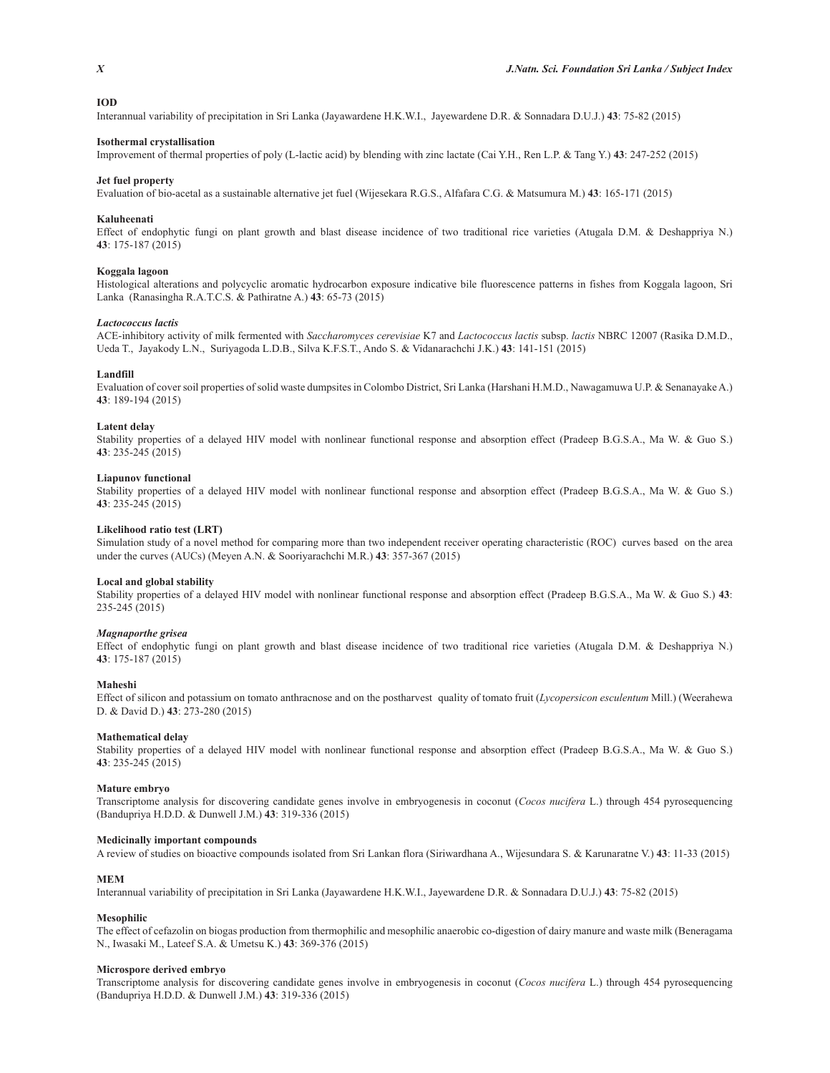## **IOD**

Interannual variability of precipitation in Sri Lanka (Jayawardene H.K.W.I., Jayewardene D.R. & Sonnadara D.U.J.) **43**: 75-82 (2015)

#### **Isothermal crystallisation**

Improvement of thermal properties of poly (L-lactic acid) by blending with zinc lactate (Cai Y.H., Ren L.P. & Tang Y.) **43**: 247-252 (2015)

## **Jet fuel property**

Evaluation of bio-acetal as a sustainable alternative jet fuel (Wijesekara R.G.S., Alfafara C.G. & Matsumura M.) **43**: 165-171 (2015)

## **Kaluheenati**

Effect of endophytic fungi on plant growth and blast disease incidence of two traditional rice varieties (Atugala D.M. & Deshappriya N.) **43**: 175-187 (2015)

## **Koggala lagoon**

Histological alterations and polycyclic aromatic hydrocarbon exposure indicative bile fluorescence patterns in fishes from Koggala lagoon, Sri Lanka (Ranasingha R.A.T.C.S. & Pathiratne A.) **43**: 65-73 (2015)

#### *Lactococcus lactis*

ACE-inhibitory activity of milk fermented with *Saccharomyces cerevisiae* K7 and *Lactococcus lactis* subsp. *lactis* NBRC 12007 (Rasika D.M.D., Ueda T., Jayakody L.N., Suriyagoda L.D.B., Silva K.F.S.T., Ando S. & Vidanarachchi J.K.) **43**: 141-151 (2015)

#### **Landfill**

Evaluation of cover soil properties of solid waste dumpsites in Colombo District, Sri Lanka (Harshani H.M.D., Nawagamuwa U.P. & Senanayake A.) **43**: 189-194 (2015)

## **Latent delay**

Stability properties of a delayed HIV model with nonlinear functional response and absorption effect (Pradeep B.G.S.A., Ma W. & Guo S.) **43**: 235-245 (2015)

#### **Liapunov functional**

Stability properties of a delayed HIV model with nonlinear functional response and absorption effect (Pradeep B.G.S.A., Ma W. & Guo S.) **43**: 235-245 (2015)

## **Likelihood ratio test (LRT)**

Simulation study of a novel method for comparing more than two independent receiver operating characteristic (ROC) curves based on the area under the curves (AUCs) (Meyen A.N. & Sooriyarachchi M.R.) **43**: 357-367 (2015)

#### **Local and global stability**

Stability properties of a delayed HIV model with nonlinear functional response and absorption effect (Pradeep B.G.S.A., Ma W. & Guo S.) **43**: 235-245 (2015)

## *Magnaporthe grisea*

Effect of endophytic fungi on plant growth and blast disease incidence of two traditional rice varieties (Atugala D.M. & Deshappriya N.) **43**: 175-187 (2015)

#### **Maheshi**

Effect of silicon and potassium on tomato anthracnose and on the postharvest quality of tomato fruit (*Lycopersicon esculentum* Mill.) (Weerahewa D. & David D.) **43**: 273-280 (2015)

## **Mathematical delay**

Stability properties of a delayed HIV model with nonlinear functional response and absorption effect (Pradeep B.G.S.A., Ma W. & Guo S.) **43**: 235-245 (2015)

#### **Mature embryo**

Transcriptome analysis for discovering candidate genes involve in embryogenesis in coconut (*Cocos nucifera* L.) through 454 pyrosequencing (Bandupriya H.D.D. & Dunwell J.M.) **43**: 319-336 (2015)

## **Medicinally important compounds**

A review of studies on bioactive compounds isolated from Sri Lankan flora (Siriwardhana A., Wijesundara S. & Karunaratne V.) **43**: 11-33 (2015)

## **MEM**

Interannual variability of precipitation in Sri Lanka (Jayawardene H.K.W.I., Jayewardene D.R. & Sonnadara D.U.J.) **43**: 75-82 (2015)

#### **Mesophilic**

The effect of cefazolin on biogas production from thermophilic and mesophilic anaerobic co-digestion of dairy manure and waste milk (Beneragama N., Iwasaki M., Lateef S.A. & Umetsu K.) **43**: 369-376 (2015)

#### **Microspore derived embryo**

Transcriptome analysis for discovering candidate genes involve in embryogenesis in coconut (*Cocos nucifera* L.) through 454 pyrosequencing (Bandupriya H.D.D. & Dunwell J.M.) **43**: 319-336 (2015)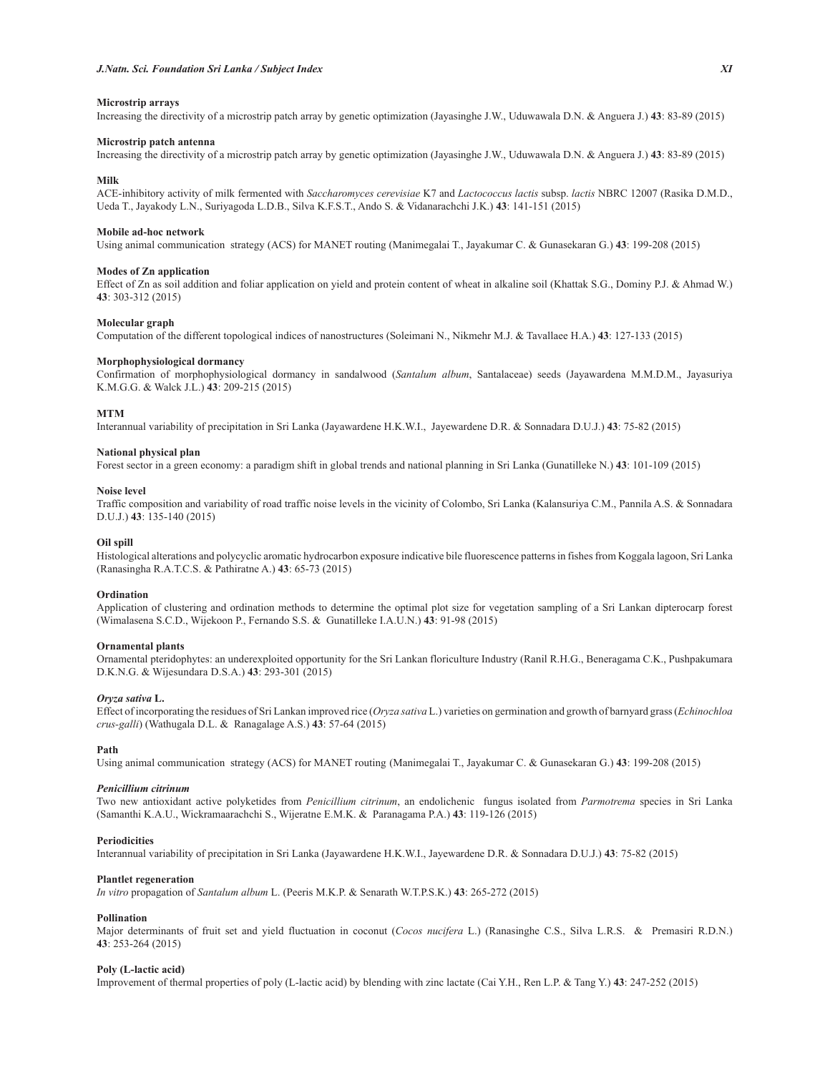## **Microstrip arrays**

Increasing the directivity of a microstrip patch array by genetic optimization (Jayasinghe J.W., Uduwawala D.N. & Anguera J.) **43**: 83-89 (2015)

## **Microstrip patch antenna**

Increasing the directivity of a microstrip patch array by genetic optimization (Jayasinghe J.W., Uduwawala D.N. & Anguera J.) **43**: 83-89 (2015)

## **Milk**

ACE-inhibitory activity of milk fermented with *Saccharomyces cerevisiae* K7 and *Lactococcus lactis* subsp. *lactis* NBRC 12007 (Rasika D.M.D., Ueda T., Jayakody L.N., Suriyagoda L.D.B., Silva K.F.S.T., Ando S. & Vidanarachchi J.K.) **43**: 141-151 (2015)

#### **Mobile ad-hoc network**

Using animal communication strategy (ACS) for MANET routing (Manimegalai T., Jayakumar C. & Gunasekaran G.) **43**: 199-208 (2015)

#### **Modes of Zn application**

Effect of Zn as soil addition and foliar application on yield and protein content of wheat in alkaline soil (Khattak S.G., Dominy P.J. & Ahmad W.) **43**: 303-312 (2015)

#### **Molecular graph**

Computation of the different topological indices of nanostructures (Soleimani N., Nikmehr M.J. & Tavallaee H.A.) **43**: 127-133 (2015)

#### **Morphophysiological dormancy**

Confirmation of morphophysiological dormancy in sandalwood (*Santalum album*, Santalaceae) seeds (Jayawardena M.M.D.M., Jayasuriya K.M.G.G. & Walck J.L.) **43**: 209-215 (2015)

## **MTM**

Interannual variability of precipitation in Sri Lanka (Jayawardene H.K.W.I., Jayewardene D.R. & Sonnadara D.U.J.) **43**: 75-82 (2015)

## **National physical plan**

Forest sector in a green economy: a paradigm shift in global trends and national planning in Sri Lanka (Gunatilleke N.) **43**: 101-109 (2015)

#### **Noise level**

Traffic composition and variability of road traffic noise levels in the vicinity of Colombo, Sri Lanka (Kalansuriya C.M., Pannila A.S. & Sonnadara D.U.J.) **43**: 135-140 (2015)

## **Oil spill**

Histological alterations and polycyclic aromatic hydrocarbon exposure indicative bile fluorescence patterns in fishes from Koggala lagoon, Sri Lanka (Ranasingha R.A.T.C.S. & Pathiratne A.) **43**: 65-73 (2015)

#### **Ordination**

Application of clustering and ordination methods to determine the optimal plot size for vegetation sampling of a Sri Lankan dipterocarp forest (Wimalasena S.C.D., Wijekoon P., Fernando S.S. & Gunatilleke I.A.U.N.) **43**: 91-98 (2015)

## **Ornamental plants**

Ornamental pteridophytes: an underexploited opportunity for the Sri Lankan floriculture Industry (Ranil R.H.G., Beneragama C.K., Pushpakumara D.K.N.G. & Wijesundara D.S.A.) **43**: 293-301 (2015)

## *Oryza sativa* **L.**

Effect of incorporating the residues of Sri Lankan improved rice (*Oryza sativa* L.) varieties on germination and growth of barnyard grass (*Echinochloa crus-galli*) (Wathugala D.L. & Ranagalage A.S.) **43**: 57-64 (2015)

## **Path**

Using animal communication strategy (ACS) for MANET routing (Manimegalai T., Jayakumar C. & Gunasekaran G.) **43**: 199-208 (2015)

## *Penicillium citrinum*

Two new antioxidant active polyketides from *Penicillium citrinum*, an endolichenic fungus isolated from *Parmotrema* species in Sri Lanka (Samanthi K.A.U., Wickramaarachchi S., Wijeratne E.M.K. & Paranagama P.A.) **43**: 119-126 (2015)

## **Periodicities**

Interannual variability of precipitation in Sri Lanka (Jayawardene H.K.W.I., Jayewardene D.R. & Sonnadara D.U.J.) **43**: 75-82 (2015)

## **Plantlet regeneration**

*In vitro* propagation of *Santalum album* L. (Peeris M.K.P. & Senarath W.T.P.S.K.) **43**: 265-272 (2015)

#### **Pollination**

Major determinants of fruit set and yield fluctuation in coconut (*Cocos nucifera* L.) (Ranasinghe C.S., Silva L.R.S. & Premasiri R.D.N.) **43**: 253-264 (2015)

#### **Poly (L-lactic acid)**

Improvement of thermal properties of poly (L-lactic acid) by blending with zinc lactate (Cai Y.H., Ren L.P. & Tang Y.) **43**: 247-252 (2015)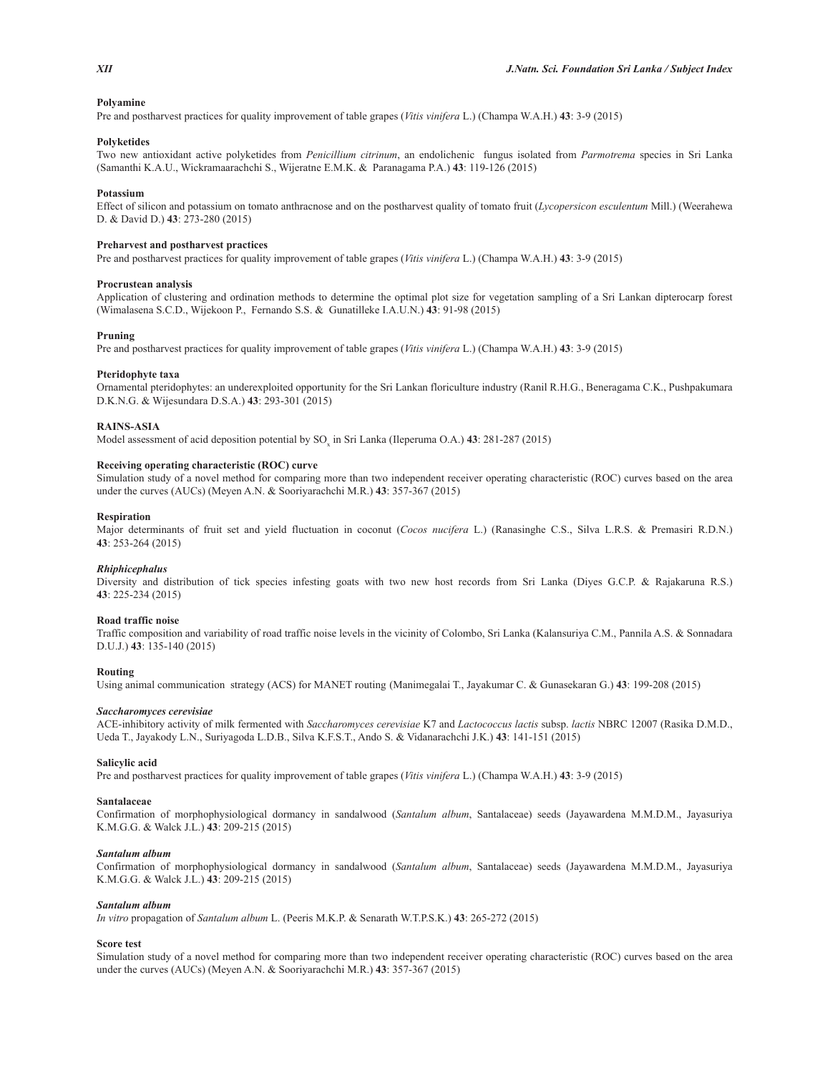## **Polyamine**

Pre and postharvest practices for quality improvement of table grapes (*Vitis vinifera* L.) (Champa W.A.H.) **43**: 3-9 (2015)

## **Polyketides**

Two new antioxidant active polyketides from *Penicillium citrinum*, an endolichenic fungus isolated from *Parmotrema* species in Sri Lanka (Samanthi K.A.U., Wickramaarachchi S., Wijeratne E.M.K. & Paranagama P.A.) **43**: 119-126 (2015)

## **Potassium**

Effect of silicon and potassium on tomato anthracnose and on the postharvest quality of tomato fruit (*Lycopersicon esculentum* Mill.) (Weerahewa D. & David D.) **43**: 273-280 (2015)

## **Preharvest and postharvest practices**

Pre and postharvest practices for quality improvement of table grapes (*Vitis vinifera* L.) (Champa W.A.H.) **43**: 3-9 (2015)

## **Procrustean analysis**

Application of clustering and ordination methods to determine the optimal plot size for vegetation sampling of a Sri Lankan dipterocarp forest (Wimalasena S.C.D., Wijekoon P., Fernando S.S. & Gunatilleke I.A.U.N.) **43**: 91-98 (2015)

## **Pruning**

Pre and postharvest practices for quality improvement of table grapes (*Vitis vinifera* L.) (Champa W.A.H.) **43**: 3-9 (2015)

## **Pteridophyte taxa**

Ornamental pteridophytes: an underexploited opportunity for the Sri Lankan floriculture industry (Ranil R.H.G., Beneragama C.K., Pushpakumara D.K.N.G. & Wijesundara D.S.A.) **43**: 293-301 (2015)

#### **RAINS-ASIA**

Model assessment of acid deposition potential by SO<sub>x</sub> in Sri Lanka (Ileperuma O.A.) **43**: 281-287 (2015)

## **Receiving operating characteristic (ROC) curve**

Simulation study of a novel method for comparing more than two independent receiver operating characteristic (ROC) curves based on the area under the curves (AUCs) (Meyen A.N. & Sooriyarachchi M.R.) **43**: 357-367 (2015)

## **Respiration**

Major determinants of fruit set and yield fluctuation in coconut (*Cocos nucifera* L.) (Ranasinghe C.S., Silva L.R.S. & Premasiri R.D.N.) **43**: 253-264 (2015)

## *Rhiphicephalus*

Diversity and distribution of tick species infesting goats with two new host records from Sri Lanka (Diyes G.C.P. & Rajakaruna R.S.) **43**: 225-234 (2015)

## **Road traffic noise**

Traffic composition and variability of road traffic noise levels in the vicinity of Colombo, Sri Lanka (Kalansuriya C.M., Pannila A.S. & Sonnadara D.U.J.) **43**: 135-140 (2015)

## **Routing**

Using animal communication strategy (ACS) for MANET routing (Manimegalai T., Jayakumar C. & Gunasekaran G.) **43**: 199-208 (2015)

## *Saccharomyces cerevisiae*

ACE-inhibitory activity of milk fermented with *Saccharomyces cerevisiae* K7 and *Lactococcus lactis* subsp. *lactis* NBRC 12007 (Rasika D.M.D., Ueda T., Jayakody L.N., Suriyagoda L.D.B., Silva K.F.S.T., Ando S. & Vidanarachchi J.K.) **43**: 141-151 (2015)

#### **Salicylic acid**

Pre and postharvest practices for quality improvement of table grapes (*Vitis vinifera* L.) (Champa W.A.H.) **43**: 3-9 (2015)

## **Santalaceae**

Confirmation of morphophysiological dormancy in sandalwood (*Santalum album*, Santalaceae) seeds (Jayawardena M.M.D.M., Jayasuriya K.M.G.G. & Walck J.L.) **43**: 209-215 (2015)

#### *Santalum album*

Confirmation of morphophysiological dormancy in sandalwood (*Santalum album*, Santalaceae) seeds (Jayawardena M.M.D.M., Jayasuriya K.M.G.G. & Walck J.L.) **43**: 209-215 (2015)

## *Santalum album*

*In vitro* propagation of *Santalum album* L. (Peeris M.K.P. & Senarath W.T.P.S.K.) **43**: 265-272 (2015)

#### **Score test**

Simulation study of a novel method for comparing more than two independent receiver operating characteristic (ROC) curves based on the area under the curves (AUCs) (Meyen A.N. & Sooriyarachchi M.R.) **43**: 357-367 (2015)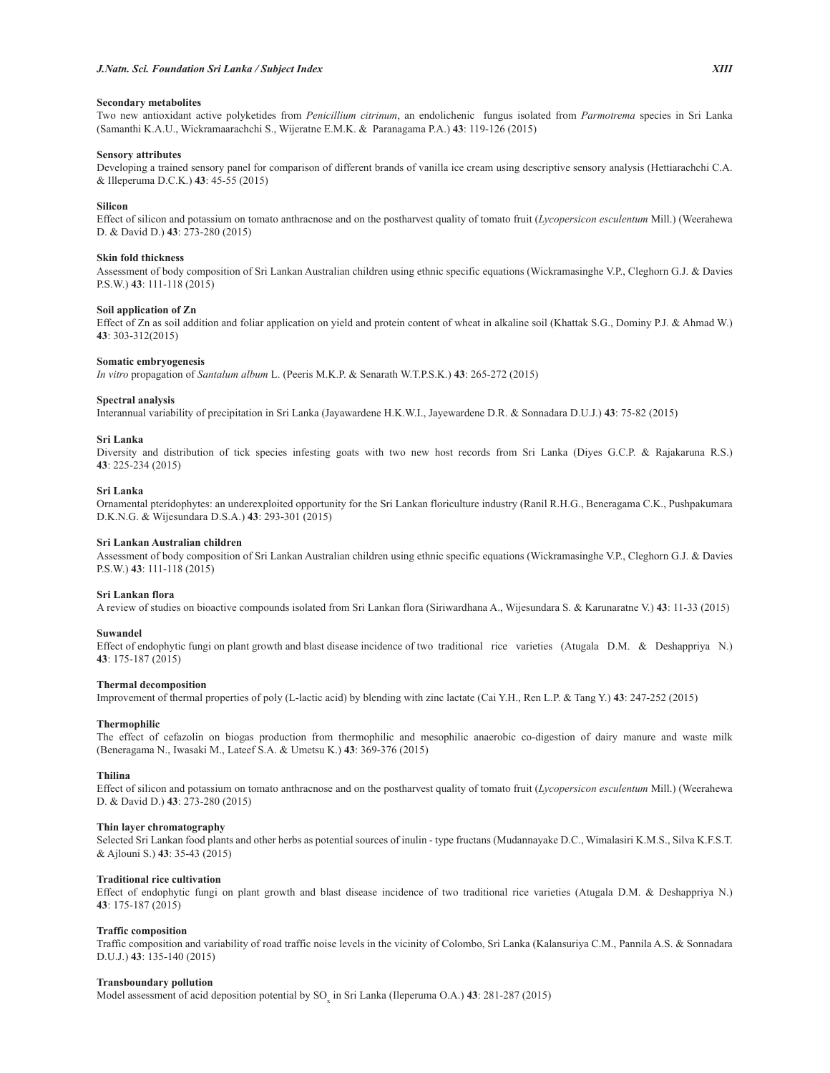## **Secondary metabolites**

Two new antioxidant active polyketides from *Penicillium citrinum*, an endolichenic fungus isolated from *Parmotrema* species in Sri Lanka (Samanthi K.A.U., Wickramaarachchi S., Wijeratne E.M.K. & Paranagama P.A.) **43**: 119-126 (2015)

## **Sensory attributes**

Developing a trained sensory panel for comparison of different brands of vanilla ice cream using descriptive sensory analysis (Hettiarachchi C.A. & Illeperuma D.C.K.) **43**: 45-55 (2015)

#### **Silicon**

Effect of silicon and potassium on tomato anthracnose and on the postharvest quality of tomato fruit (*Lycopersicon esculentum* Mill.) (Weerahewa D. & David D.) **43**: 273-280 (2015)

## **Skin fold thickness**

Assessment of body composition of Sri Lankan Australian children using ethnic specific equations (Wickramasinghe V.P., Cleghorn G.J. & Davies P.S.W.) **43**: 111-118 (2015)

## **Soil application of Zn**

Effect of Zn as soil addition and foliar application on yield and protein content of wheat in alkaline soil (Khattak S.G., Dominy P.J. & Ahmad W.) **43**: 303-312(2015)

## **Somatic embryogenesis**

*In vitro* propagation of *Santalum album* L. (Peeris M.K.P. & Senarath W.T.P.S.K.) **43**: 265-272 (2015)

#### **Spectral analysis**

Interannual variability of precipitation in Sri Lanka (Jayawardene H.K.W.I., Jayewardene D.R. & Sonnadara D.U.J.) **43**: 75-82 (2015)

#### **Sri Lanka**

Diversity and distribution of tick species infesting goats with two new host records from Sri Lanka (Diyes G.C.P. & Rajakaruna R.S.) **43**: 225-234 (2015)

## **Sri Lanka**

Ornamental pteridophytes: an underexploited opportunity for the Sri Lankan floriculture industry (Ranil R.H.G., Beneragama C.K., Pushpakumara D.K.N.G. & Wijesundara D.S.A.) **43**: 293-301 (2015)

## **Sri Lankan Australian children**

Assessment of body composition of Sri Lankan Australian children using ethnic specific equations (Wickramasinghe V.P., Cleghorn G.J. & Davies P.S.W.) **43**: 111-118 (2015)

#### **Sri Lankan flora**

A review of studies on bioactive compounds isolated from Sri Lankan flora (Siriwardhana A., Wijesundara S. & Karunaratne V.) **43**: 11-33 (2015)

## **Suwandel**

Effect of endophytic fungi on plant growth and blast disease incidence of two traditional rice varieties (Atugala D.M. & Deshappriya N.) **43**: 175-187 (2015)

### **Thermal decomposition**

Improvement of thermal properties of poly (L-lactic acid) by blending with zinc lactate (Cai Y.H., Ren L.P. & Tang Y.) **43**: 247-252 (2015)

#### **Thermophilic**

The effect of cefazolin on biogas production from thermophilic and mesophilic anaerobic co-digestion of dairy manure and waste milk (Beneragama N., Iwasaki M., Lateef S.A. & Umetsu K.) **43**: 369-376 (2015)

## **Thilina**

Effect of silicon and potassium on tomato anthracnose and on the postharvest quality of tomato fruit (*Lycopersicon esculentum* Mill.) (Weerahewa D. & David D.) **43**: 273-280 (2015)

#### **Thin layer chromatography**

Selected Sri Lankan food plants and other herbs as potential sources of inulin - type fructans (Mudannayake D.C., Wimalasiri K.M.S., Silva K.F.S.T. & Ajlouni S.) **43**: 35-43 (2015)

#### **Traditional rice cultivation**

Effect of endophytic fungi on plant growth and blast disease incidence of two traditional rice varieties (Atugala D.M. & Deshappriya N.) **43**: 175-187 (2015)

## **Traffic composition**

Traffic composition and variability of road traffic noise levels in the vicinity of Colombo, Sri Lanka (Kalansuriya C.M., Pannila A.S. & Sonnadara D.U.J.) **43**: 135-140 (2015)

#### **Transboundary pollution**

Model assessment of acid deposition potential by SO<sub>x</sub> in Sri Lanka (Ileperuma O.A.) **43**: 281-287 (2015)